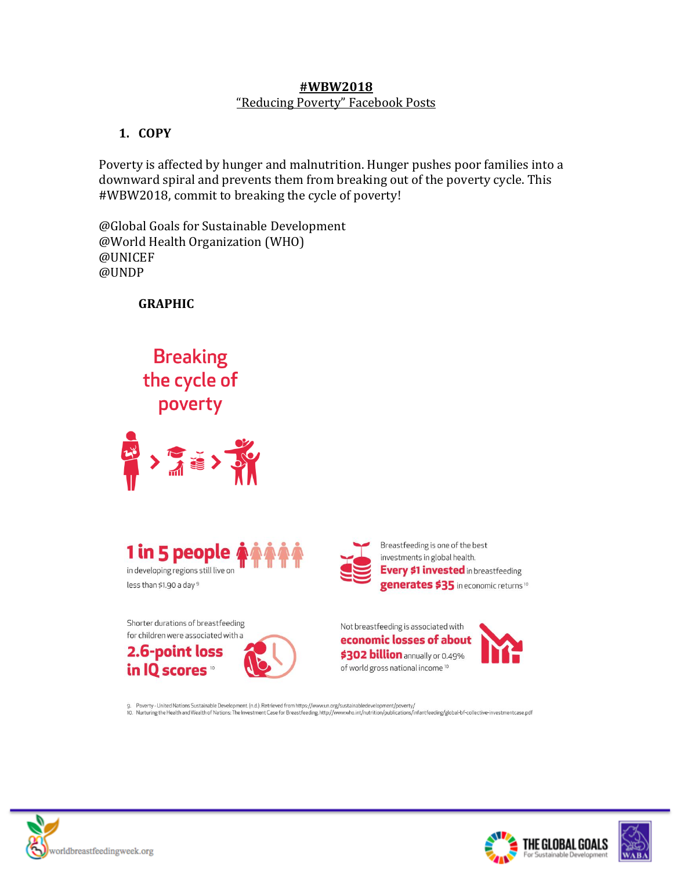#### **#WBW2018** "Reducing Poverty" Facebook Posts

# **1. COPY**

Poverty is affected by hunger and malnutrition. Hunger pushes poor families into a downward spiral and prevents them from breaking out of the poverty cycle. This #WBW2018, commit to breaking the cycle of poverty!

@Global Goals for Sustainable Development @World Health Organization (WHO) @UNICEF @UNDP

**GRAPHIC**

**Breaking** the cycle of poverty







Breastfeeding is one of the best investments in global health. **Every \$1 invested** in breastfeeding generates \$35 in economic returns<sup>10</sup>

Shorter durations of breastfeeding for children were associated with a 2.6-point loss

in IQ scores



Not breastfeeding is associated with economic losses of about \$302 billion annually or 0.49% of world gross national income<sup>10</sup>



9. Poverty - United Nations Sustainable Development. (n.d.). Retrieved from https://www.un.org/sustainabledevelopment/poverty/ 10. Nurturing the Health and Wealth of Nations: The Investment Case for Breastfeeding. http://www.who.int/nutrition/publications/infantfeeding/global-bf-collective-investmentcase.pdf





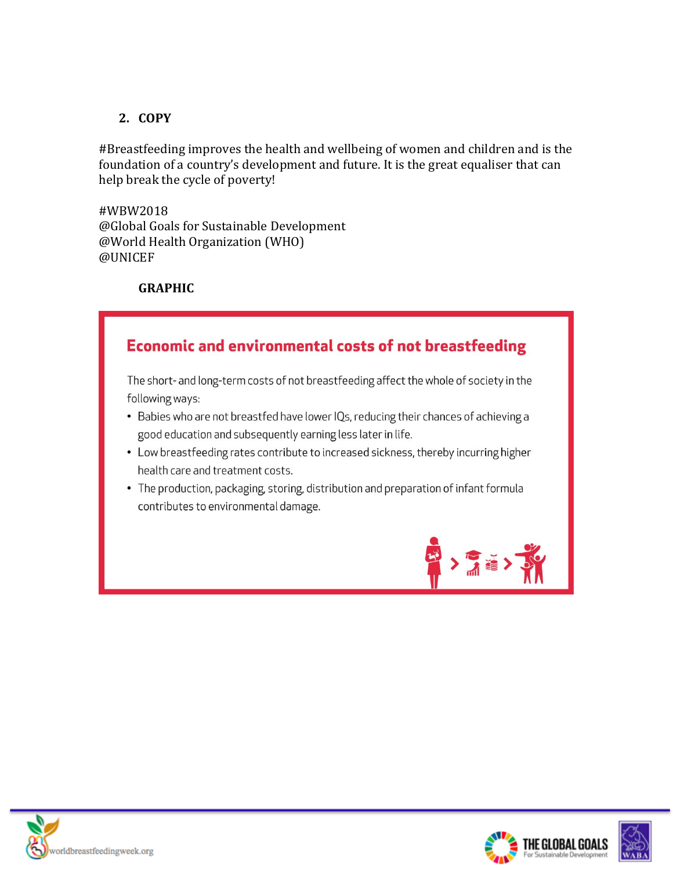### **2. COPY**

#Breastfeeding improves the health and wellbeing of women and children and is the foundation of a country's development and future. It is the great equaliser that can help break the cycle of poverty!

#WBW2018 @Global Goals for Sustainable Development @World Health Organization (WHO) @UNICEF

#### **GRAPHIC**



The short- and long-term costs of not breastfeeding affect the whole of society in the following ways:

- Babies who are not breastfed have lower IQs, reducing their chances of achieving a good education and subsequently earning less later in life.
- Low breastfeeding rates contribute to increased sickness, thereby incurring higher health care and treatment costs.
- The production, packaging, storing, distribution and preparation of infant formula contributes to environmental damage.